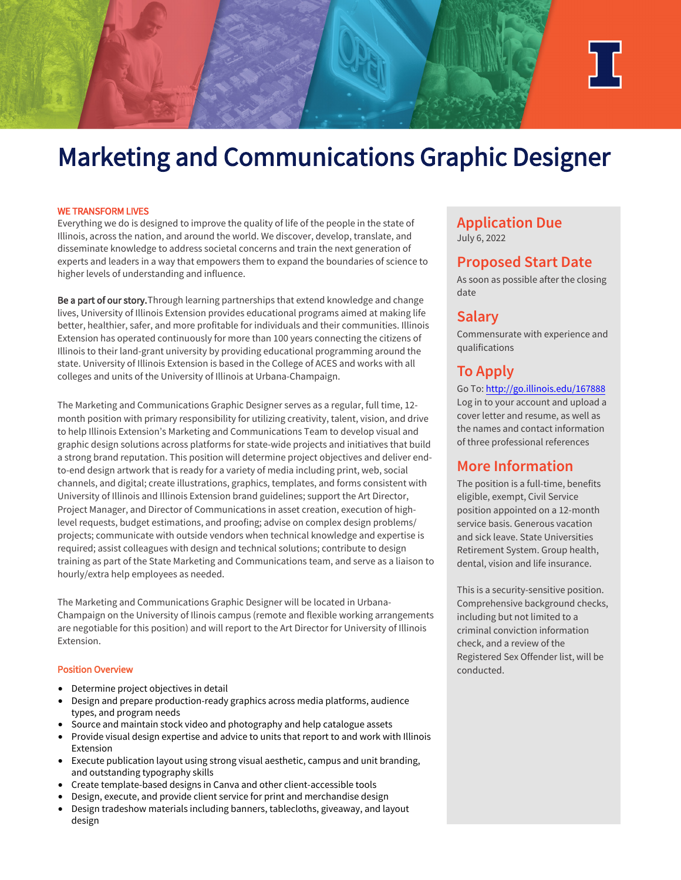

# Marketing and Communications Graphic Designer

#### WE TRANSFORM LIVES

Everything we do is designed to improve the quality of life of the people in the state of Illinois, across the nation, and around the world. We discover, develop, translate, and disseminate knowledge to address societal concerns and train the next generation of experts and leaders in a way that empowers them to expand the boundaries of science to higher levels of understanding and influence.

Be a part of our story. Through learning partnerships that extend knowledge and change lives, University of Illinois Extension provides educational programs aimed at making life better, healthier, safer, and more profitable for individuals and their communities. Illinois Extension has operated continuously for more than 100 years connecting the citizens of Illinois to their land-grant university by providing educational programming around the state. University of Illinois Extension is based in the College of ACES and works with all colleges and units of the University of Illinois at Urbana-Champaign.

The Marketing and Communications Graphic Designer serves as a regular, full time, 12 month position with primary responsibility for utilizing creativity, talent, vision, and drive to help Illinois Extension's Marketing and Communications Team to develop visual and graphic design solutions across platforms for state-wide projects and initiatives that build a strong brand reputation. This position will determine project objectives and deliver endto-end design artwork that is ready for a variety of media including print, web, social channels, and digital; create illustrations, graphics, templates, and forms consistent with University of Illinois and Illinois Extension brand guidelines; support the Art Director, Project Manager, and Director of Communications in asset creation, execution of highlevel requests, budget estimations, and proofing; advise on complex design problems/ projects; communicate with outside vendors when technical knowledge and expertise is required; assist colleagues with design and technical solutions; contribute to design training as part of the State Marketing and Communications team, and serve as a liaison to hourly/extra help employees as needed.

The Marketing and Communications Graphic Designer will be located in Urbana-Champaign on the University of Ilinois campus (remote and flexible working arrangements are negotiable for this position) and will report to the Art Director for University of Illinois Extension.

#### Position Overview

- Determine project objectives in detail
- Design and prepare production-ready graphics across media platforms, audience types, and program needs
- Source and maintain stock video and photography and help catalogue assets
- Provide visual design expertise and advice to units that report to and work with Illinois Extension
- Execute publication layout using strong visual aesthetic, campus and unit branding, and outstanding typography skills
- Create template-based designs in Canva and other client-accessible tools
- Design, execute, and provide client service for print and merchandise design
- Design tradeshow materials including banners, tablecloths, giveaway, and layout design

### **Application Due** July 6, 2022

# **Proposed Start Date**

As soon as possible after the closing date

# **Salary**

Commensurate with experience and qualifications

# **To Apply**

[Go To: http://go.illinois.edu/1](https://go.illinois.edu/167888)67888 Log in to your account and upload a cover letter and resume, as well as the names and contact information of three professional references

# **More Information**

The position is a full-time, benefits eligible, exempt, Civil Service position appointed on a 12-month service basis. Generous vacation and sick leave. State Universities Retirement System. Group health, dental, vision and life insurance.

This is a security-sensitive position. Comprehensive background checks, including but not limited to a criminal conviction information check, and a review of the Registered Sex Offender list, will be conducted.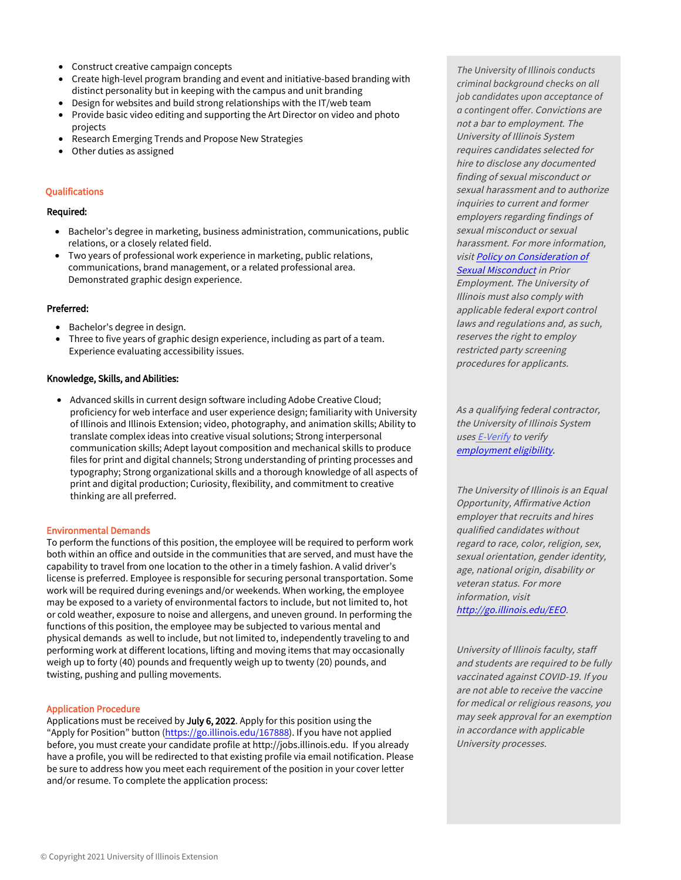- Construct creative campaign concepts
- Create high-level program branding and event and initiative-based branding with distinct personality but in keeping with the campus and unit branding
- Design for websites and build strong relationships with the IT/web team
- Provide basic video editing and supporting the Art Director on video and photo projects
- Research Emerging Trends and Propose New Strategies
- Other duties as assigned

#### **Qualifications**

#### Required:

- Bachelor's degree in marketing, business administration, communications, public relations, or a closely related field.
- Two years of professional work experience in marketing, public relations, communications, brand management, or a related professional area. Demonstrated graphic design experience.

#### Preferred:

- Bachelor's degree in design.
- Three to five years of graphic design experience, including as part of a team. Experience evaluating accessibility issues.

#### Knowledge, Skills, and Abilities:

• Advanced skills in current design software including Adobe Creative Cloud; proficiency for web interface and user experience design; familiarity with University of Illinois and Illinois Extension; video, photography, and animation skills; Ability to translate complex ideas into creative visual solutions; Strong interpersonal communication skills; Adept layout composition and mechanical skills to produce files for print and digital channels; Strong understanding of printing processes and typography; Strong organizational skills and a thorough knowledge of all aspects of print and digital production; Curiosity, flexibility, and commitment to creative thinking are all preferred.

#### Environmental Demands

To perform the functions of this position, the employee will be required to perform work both within an office and outside in the communities that are served, and must have the capability to travel from one location to the other in a timely fashion. A valid driver's license is preferred. Employee is responsible for securing personal transportation. Some work will be required during evenings and/or weekends. When working, the employee may be exposed to a variety of environmental factors to include, but not limited to, hot or cold weather, exposure to noise and allergens, and uneven ground. In performing the functions of this position, the employee may be subjected to various mental and physical demands as well to include, but not limited to, independently traveling to and performing work at different locations, lifting and moving items that may occasionally weigh up to forty (40) pounds and frequently weigh up to twenty (20) pounds, and twisting, pushing and pulling movements.

#### Application Procedure

Applications must be received by July 6, 2022. Apply for this position using the "Apply for Position" butto[n \(https://go.illinois.edu/167888\). If](https://go.illinois.edu/167888) you have not applied before, you must create your candidate profile at http://jobs.illinois.edu. If you already have a profile, you will be redirected to that existing profile via email notification. Please be sure to address how you meet each requirement of the position in your cover letter and/or resume. To complete the application process:

*The University of Illinois conducts criminal background checks on all job candidates upon acceptance of a contingent offer.*Convictions are not a bar to employment. The University of Illinois System requires candidates selected for hire to disclose any documented finding of sexual misconduct or sexual harassment and to authorize inquiries to current and former employers regarding findings of sexual misconduct or sexual harassment. For more information, [visit Policy on Consideration of](https://www.hr.uillinois.edu/cms/One.aspx?portalId=4292&pageId=1411899)  Sexual Misconduct in Prior Employment. The University of Illinois must also comply with applicable federal export control laws and regulations and, as such, reserves the right to employ restricted party screening procedures for applicants.

As a qualifying federal contractor, the University of Illinois System uses E-Verify to verify employment eligibility.

The University of Illinois is an Equal Opportunity, Affirmative Action employer that recruits and hires qualified candidates without regard to race, color, religion, sex, sexual orientation, gender identity, age, national origin, disability or veteran status. For more information, visit [http://go.illinois.edu/EEO.](http://diversity.illinois.edu/discrimination-and-harrassment-prevention.html)

University of Illinois faculty, staff and students are required to be fully vaccinated against COVID-19. If you are not able to receive the vaccine for medical or religious reasons, you may seek approval for an exemption in accordance with applicable University processes.